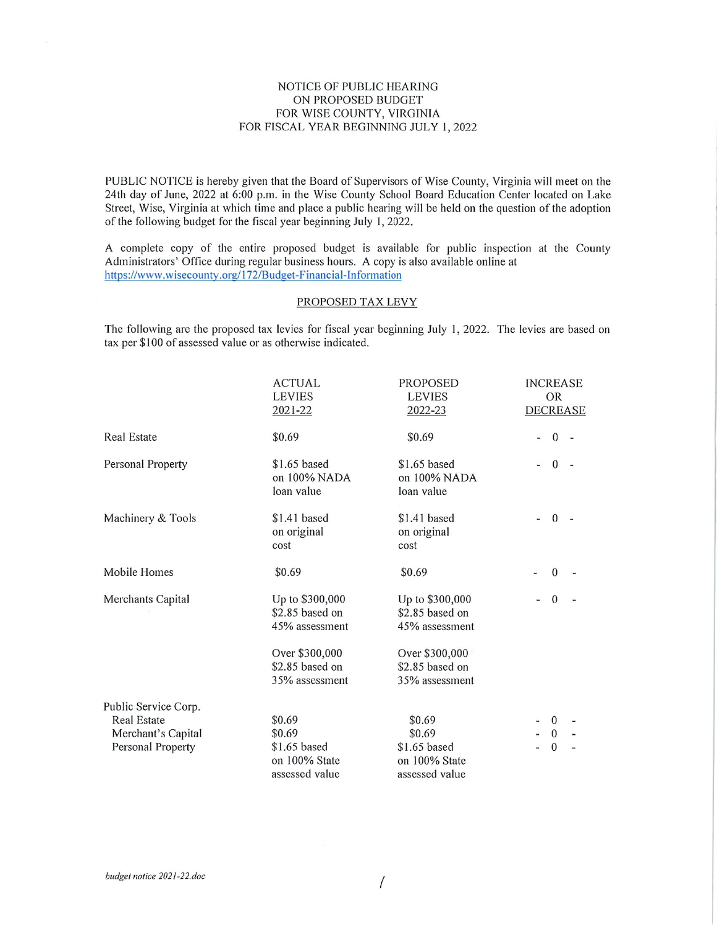### NOTICE OF PUBLIC HEARING ON PROPOSED BUDGET FOR WISE COUNTY, VIRGINIA FOR FISCAL YEAR BEGINNING JULY 1, 2022

PUBLIC NOTICE is hereby given that the Board of Supervisors of Wise County, Virginia will meet on the 24th day of June, 2022 at 6:00 p.m. in the Wise County School Board Education Center located on Lake Street, Wise, Virginia at which time and place a public hearing will be held on the question of the adoption of the following budget for the fiscal year beginning July 1, 2022.

A complete copy of the entire proposed budget is available for public inspection at the County Administrators' Office during regular business hours. A copy is also available online at https://www.wisecounty.org/172/Budget-Financial-Information

#### PROPOSED TAX LEVY

The following are the proposed tax levies for fiscal year beginning July 1, 2022. The levies are based on tax per \$100 of assessed value or as otherwise indicated.

|                      | <b>ACTUAL</b><br><b>LEVIES</b><br>2021-22            | <b>PROPOSED</b><br><b>LEVIES</b><br>2022-23          | <b>INCREASE</b><br><b>OR</b><br><b>DECREASE</b> |
|----------------------|------------------------------------------------------|------------------------------------------------------|-------------------------------------------------|
| <b>Real Estate</b>   | \$0.69                                               | \$0.69                                               | $\mathbf{0}$                                    |
| Personal Property    | \$1.65 based<br>on 100% NADA<br>loan value           | \$1.65 based<br>on 100% NADA<br>loan value           | $\Omega$                                        |
| Machinery & Tools    | \$1.41 based<br>on original<br>cost                  | \$1.41 based<br>on original<br>cost                  | $\mathbf{0}$                                    |
| Mobile Homes         | \$0.69                                               | \$0.69                                               | $\mathbf{0}$                                    |
| Merchants Capital    | Up to \$300,000<br>\$2.85 based on<br>45% assessment | Up to \$300,000<br>\$2.85 based on<br>45% assessment | $\Omega$                                        |
|                      | Over \$300,000<br>\$2.85 based on<br>35% assessment  | Over \$300,000<br>\$2.85 based on<br>35% assessment  |                                                 |
| Public Service Corp. |                                                      |                                                      |                                                 |
| <b>Real Estate</b>   | \$0.69                                               | \$0.69                                               | $\mathbf{0}$                                    |
| Merchant's Capital   | \$0.69                                               | \$0.69                                               | $\theta$                                        |
| Personal Property    | \$1.65 based<br>on 100% State<br>assessed value      | $$1.65$ based<br>on 100% State<br>assessed value     | $\mathbf{0}$                                    |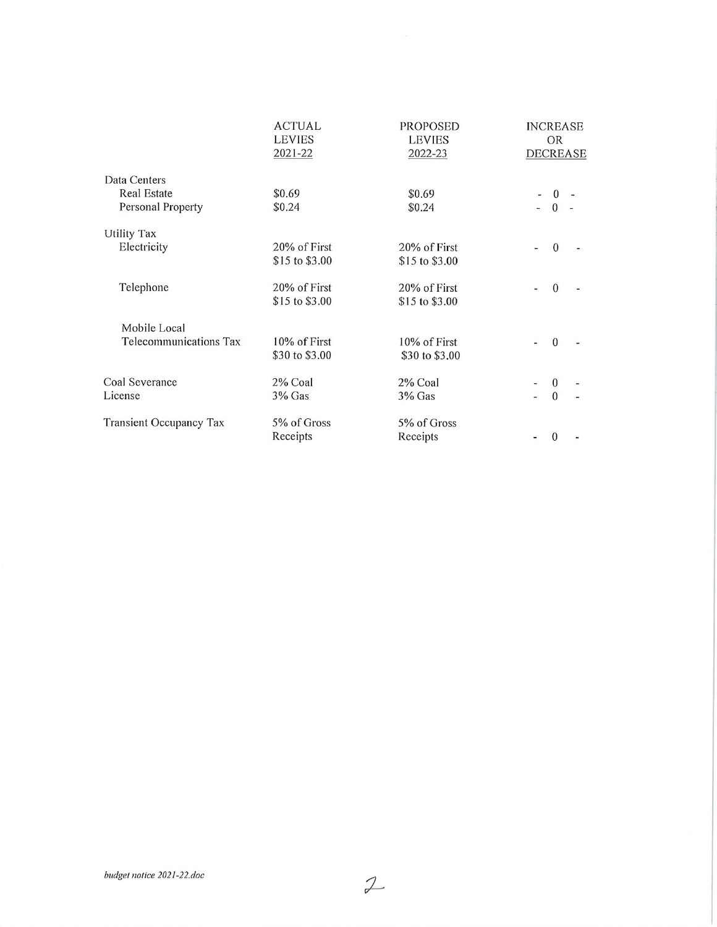|                                                         | <b>ACTUAL</b>                  | <b>PROPOSED</b>                | <b>INCREASE</b>      |
|---------------------------------------------------------|--------------------------------|--------------------------------|----------------------|
|                                                         | <b>LEVIES</b>                  | <b>LEVIES</b>                  | <b>OR</b>            |
|                                                         | 2021-22                        | 2022-23                        | <b>DECREASE</b>      |
| Data Centers<br><b>Real Estate</b><br>Personal Property | \$0.69<br>\$0.24               | \$0.69<br>\$0.24               | $\bf{0}$<br>$\Omega$ |
| <b>Utility Tax</b>                                      | 20% of First                   | 20% of First                   | $\theta$             |
| Electricity                                             | \$15 to \$3,00                 | \$15 to \$3.00                 |                      |
| Telephone                                               | 20% of First<br>\$15 to \$3.00 | 20% of First<br>\$15 to \$3.00 | $\Omega$             |
| Mobile Local                                            | 10% of First                   | 10% of First                   | $\Omega$             |
| Telecommunications Tax                                  | \$30 to \$3.00                 | \$30 to \$3.00                 |                      |
| Coal Severance                                          | 2% Coal                        | 2% Coal                        | $\theta$             |
| License                                                 | 3% Gas                         | $3%$ Gas                       | $\Omega$             |
| <b>Transient Occupancy Tax</b>                          | 5% of Gross<br>Receipts        | 5% of Gross<br>Receipts        | $\Omega$             |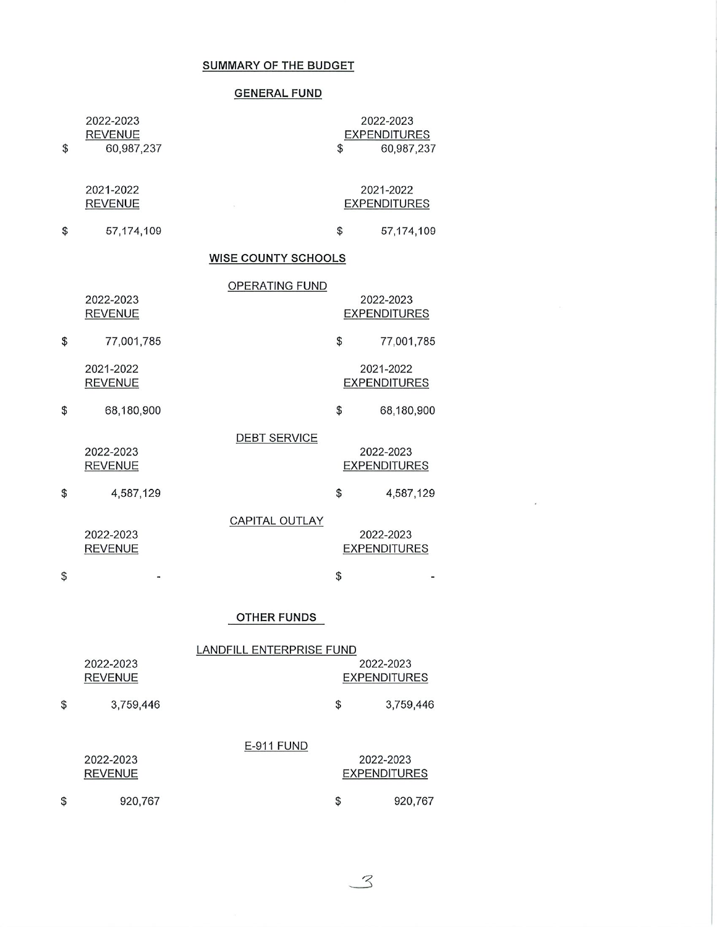## SUMMARY OF THE BUDGET

# GENERAL FUND

| 2022-2023        |
|------------------|
| <b>REVENUE</b>   |
| \$<br>60,987,237 |

2022-2023 **EXPENDITURES**  $\sqrt{60,987,237}$ 

## 2021-2022 **REVENUE**

 $\boldsymbol{\mathsf{\$}}$ 

\$

 $\sim$ 

57,174,109

# 2021-2022 **EXPENDITURES**

 $\bar{z}$ 

 $$57,174,109$ 

# WISE COUNTY SCHOOLS

|                             | OPERATING FUND        |                                  |
|-----------------------------|-----------------------|----------------------------------|
| 2022-2023<br><b>REVENUE</b> |                       | 2022-2023<br><b>EXPENDITURES</b> |
| \$<br>77,001,785            |                       | \$<br>77,001,785                 |
| 2021-2022<br><b>REVENUE</b> |                       | 2021-2022<br><b>EXPENDITURES</b> |
| \$<br>68,180,900            |                       | \$<br>68,180,900                 |
| 2022-2023<br><b>REVENUE</b> | <b>DEBT SERVICE</b>   | 2022-2023<br><b>EXPENDITURES</b> |
| \$<br>4,587,129             |                       | \$<br>4,587,129                  |
| 2022-2023<br>REVENUE        | <b>CAPITAL OUTLAY</b> | 2022-2023<br><b>EXPENDITURES</b> |

## OTHER FUNDS

 $\boldsymbol{\mathsf{\$}}$ 

 $\overline{\phantom{a}}$ 

|                 | LANDFILL ENTERPRISE FUND |                     |
|-----------------|--------------------------|---------------------|
| 2022-2023       |                          | 2022-2023           |
| <b>REVENUE</b>  |                          | <b>EXPENDITURES</b> |
| \$<br>3,759,446 |                          | \$<br>3,759,446     |
|                 | E-911 FUND               |                     |
| 2022-2023       |                          | 2022-2023           |
| <b>REVENUE</b>  |                          | <b>EXPENDITURES</b> |
| \$<br>920,767   |                          | \$<br>920,767       |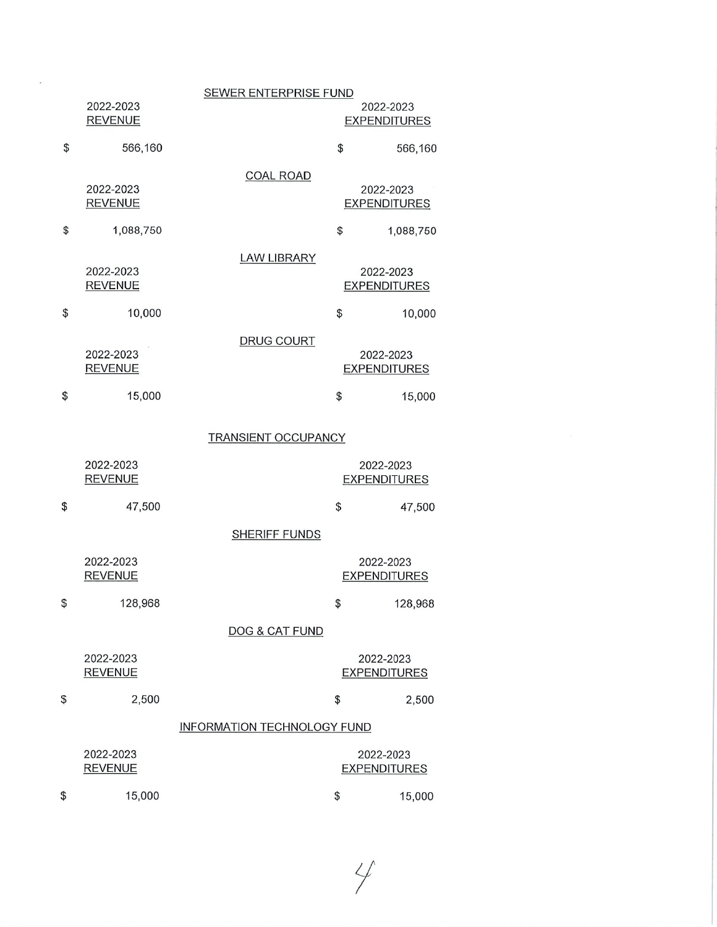|                             | <b>SEWER ENTERPRISE FUND</b> |                                  |                                  |
|-----------------------------|------------------------------|----------------------------------|----------------------------------|
| 2022-2023<br><b>REVENUE</b> |                              |                                  | 2022-2023<br><b>EXPENDITURES</b> |
| \$<br>566,160               |                              | \$                               | 566,160                          |
| 2022-2023                   | <b>COAL ROAD</b>             |                                  | 2022-2023                        |
| <b>REVENUE</b>              |                              |                                  | <b>EXPENDITURES</b>              |
| \$<br>1,088,750             |                              | \$                               | 1,088,750                        |
| 2022-2023<br><b>REVENUE</b> | <b>LAW LIBRARY</b>           |                                  | 2022-2023<br><b>EXPENDITURES</b> |
| \$<br>10,000                |                              | \$                               | 10,000                           |
| 2022-2023<br><b>REVENUE</b> | <b>DRUG COURT</b>            |                                  | 2022-2023<br><b>EXPENDITURES</b> |
| \$<br>15,000                |                              | \$                               | 15,000                           |
|                             | <b>TRANSIENT OCCUPANCY</b>   |                                  |                                  |
| 2022-2023<br><b>REVENUE</b> |                              |                                  | 2022-2023<br><b>EXPENDITURES</b> |
| \$<br>47,500                |                              | \$                               | 47,500                           |
|                             | <b>SHERIFF FUNDS</b>         |                                  |                                  |
| 2022-2023<br><b>REVENUE</b> |                              | 2022-2023<br><b>EXPENDITURES</b> |                                  |
| \$<br>128,968               |                              | \$                               | 128,968                          |
|                             | DOG & CAT FUND               |                                  |                                  |
| 2022-2023<br><b>REVENUE</b> |                              | 2022-2023<br><b>EXPENDITURES</b> |                                  |
| \$<br>2,500                 |                              | \$                               | 2,500                            |
|                             | INFORMATION TECHNOLOGY FUND  |                                  |                                  |
| 2022-2023<br><b>REVENUE</b> |                              | 2022-2023<br><b>EXPENDITURES</b> |                                  |
| 15,000<br>\$                |                              | \$                               | 15,000                           |

 $4/$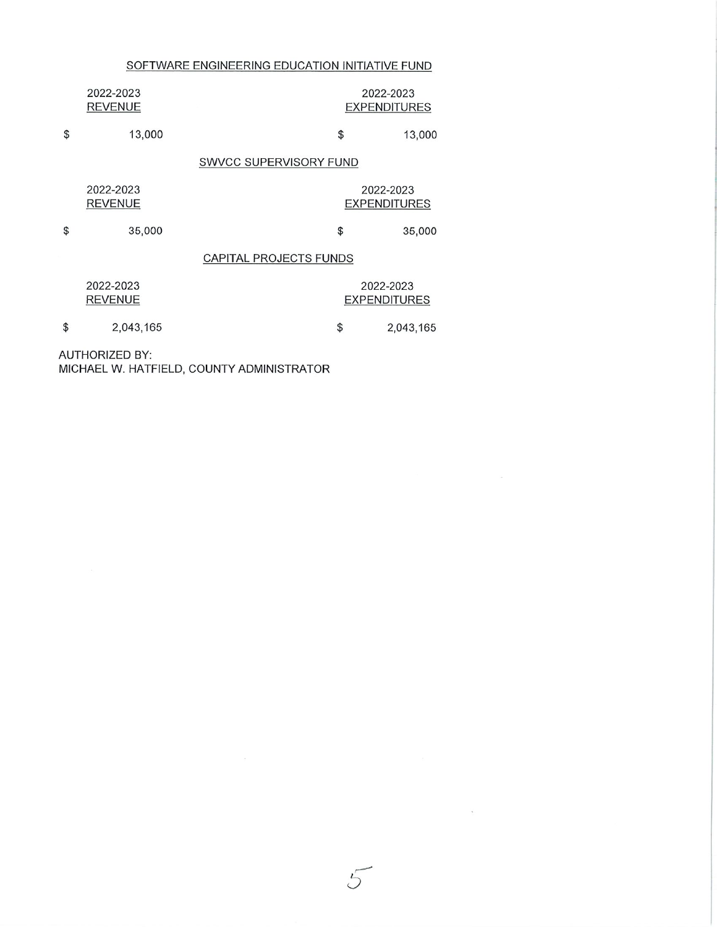# SOFTWARE ENGINEERING EDUCATION INITIATIVE FUND

| 2022-2023<br><b>REVENUE</b> |                        | 2022-2023<br><b>EXPENDITURES</b> |
|-----------------------------|------------------------|----------------------------------|
| \$<br>13,000                | \$                     | 13,000                           |
|                             | SWVCC SUPERVISORY FUND |                                  |
| 2022-2023<br><b>REVENUE</b> |                        | 2022-2023<br><b>EXPENDITURES</b> |
| \$<br>35,000                | \$                     | 35,000                           |

# CAPITAL PROJECTS FUNDS

 $\iota$ 

 $\mathcal{O}(\mathcal{A})$ 

| 2022-2023      | 2022-2023           |
|----------------|---------------------|
| <b>REVENUE</b> | <b>EXPENDITURES</b> |

\$ 2,043,165  $$2,043,165$ 

AUTHORIZED BY: MICHAEL W. HATFIELD, COUNTY ADMINISTRATOR